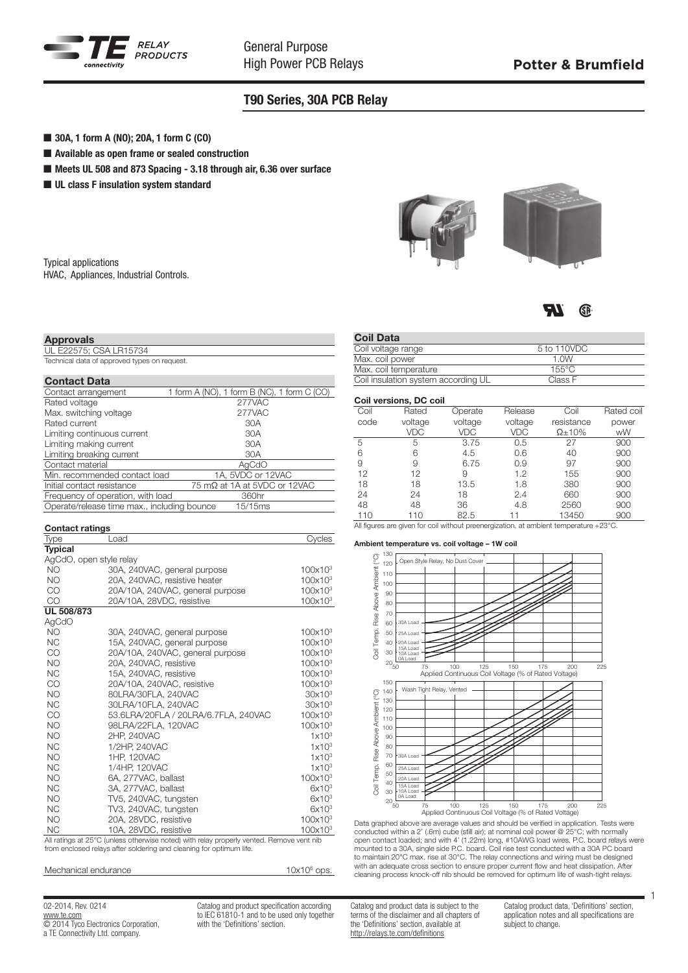

## T90 Series, 30A PCB Relay

- 30A, 1 form A (NO); 20A, 1 form C (CO)
- $\blacksquare$  Available as open frame or sealed construction
- Meets UL 508 and 873 Spacing 3.18 through air, 6.36 over surface
- $\blacksquare$  UL class F insulation system standard

| <b>Typical applications</b>            |  |
|----------------------------------------|--|
| HVAC, Appliances, Industrial Controls. |  |

| Approvals                                    |
|----------------------------------------------|
| UL E22575; CSA LR15734                       |
| Technical data of approved types on request. |

### Contact Data

| Contact arrangement                         | 1 form A (NO), 1 form B (NC), 1 form C (CO) |
|---------------------------------------------|---------------------------------------------|
| Rated voltage                               | 277VAC                                      |
| Max. switching voltage                      | 277VAC                                      |
| Rated current                               | 30A                                         |
| Limiting continuous current                 | 30A                                         |
| Limiting making current                     | 30A                                         |
| Limiting breaking current                   | 30A                                         |
| Contact material                            | AgCdO                                       |
| Min. recommended contact load               | 1A, 5VDC or 12VAC                           |
| Initial contact resistance                  | 75 mΩ at 1A at 5VDC or 12VAC                |
| Frequency of operation, with load           | 360hr                                       |
| Operate/release time max., including bounce | 15/15ms                                     |
|                                             |                                             |

| <b>Contact ratings</b>  |                                                                                                                      |                                |
|-------------------------|----------------------------------------------------------------------------------------------------------------------|--------------------------------|
| Type                    | Load                                                                                                                 | Cycles                         |
| <b>Typical</b>          |                                                                                                                      |                                |
| AgCdO, open style relay |                                                                                                                      |                                |
| <b>NO</b>               | 30A, 240VAC, general purpose                                                                                         | $100x10^3$                     |
| <b>NO</b>               | 20A, 240VAC, resistive heater                                                                                        | $100x10^3$                     |
| CO                      | 20A/10A, 240VAC, general purpose                                                                                     | 100x10 <sup>3</sup>            |
| <b>CO</b>               | 20A/10A, 28VDC, resistive                                                                                            | $100x10^3$                     |
| <b>UL 508/873</b>       |                                                                                                                      |                                |
| AgCdO                   |                                                                                                                      |                                |
| <b>NO</b>               | 30A, 240VAC, general purpose                                                                                         | $100x10^3$                     |
| <b>NC</b>               | 15A, 240VAC, general purpose                                                                                         | $100x10^3$                     |
| CO                      | 20A/10A, 240VAC, general purpose                                                                                     | $100x10^3$                     |
| <b>NO</b>               | 20A. 240VAC. resistive                                                                                               | $100x10^3$                     |
| <b>NC</b>               | 15A, 240VAC, resistive                                                                                               | $100\times10^3$                |
| CO                      | 20A/10A, 240VAC, resistive                                                                                           | $100x10^3$                     |
| <b>NO</b>               | 80LRA/30FLA, 240VAC                                                                                                  | 30x10 <sup>3</sup>             |
| <b>NC</b>               | 30LRA/10FLA, 240VAC                                                                                                  | 30x10 <sup>3</sup>             |
| CO                      | 53.6LRA/20FLA / 20LRA/6.7FLA, 240VAC                                                                                 | $100x10^3$                     |
| <b>NO</b>               | 98LRA/22FLA, 120VAC                                                                                                  | $100x10^3$                     |
| <b>NO</b>               | 2HP. 240VAC                                                                                                          | 1x10 <sup>3</sup>              |
| <b>NC</b>               | 1/2HP, 240VAC                                                                                                        | $1 \times 10^3$                |
| <b>NO</b>               | 1HP. 120VAC                                                                                                          | 1x10 <sup>3</sup>              |
| <b>NC</b>               | 1/4HP. 120VAC                                                                                                        | 1x10 <sup>3</sup>              |
| <b>NO</b>               | 6A, 277VAC, ballast                                                                                                  | $100x10^3$                     |
| <b>NC</b>               | 3A, 277VAC, ballast                                                                                                  | 6x10 <sup>3</sup>              |
| <b>NO</b>               | TV5, 240VAC, tungsten                                                                                                | 6x10 <sup>3</sup>              |
| <b>NC</b>               | TV3, 240VAC, tungsten                                                                                                | 6x10 <sup>3</sup>              |
| <b>NO</b>               | 20A, 28VDC, resistive                                                                                                | 100x10 <sup>3</sup>            |
| <b>NC</b>               | 10A, 28VDC, resistive<br>All activities of OEOO Alackers with carriers worked) with active concernation of Decession | $100x10^3$<br>constant and the |

All ratings at 25°C (unless otherwise noted) with relay properly vented. Remove vent nib from enclosed relays after soldering and cleaning for optimum life.

| Mechanical endurance | $10x106$ ops. |
|----------------------|---------------|
|----------------------|---------------|

02-2014, Rev. 0214 www.te.com © 2014 Tyco Electronics Corporation, a TE Connectivity Ltd. company.

Catalog and product specification according to IEC 61810-1 and to be used only together with the 'Definitions' section.



#### **TR** GP.

| <b>Coil Data</b> |  |
|------------------|--|

| Coll Data                           |                 |  |
|-------------------------------------|-----------------|--|
| Coil voltage range                  | 5 to 110VDC     |  |
| Max. coil power                     | 1. $0W$         |  |
| Max. coil temperature               | $155^{\circ}$ C |  |
| Coil insulation system according UL | Class F         |  |

## Coil versions, DC coil

| Coil | Rated   | Operate    | Release | Coil          | Rated coil |
|------|---------|------------|---------|---------------|------------|
| code | voltage | voltage    | voltage | resistance    | power      |
|      | VDC     | <b>VDC</b> | VDC     | $\Omega$ ±10% | wW         |
| 5    | 5       | 3.75       | 0.5     | 27            | 900        |
| 6    | 6       | 4.5        | 0.6     | 40            | 900        |
| 9    | 9       | 6.75       | 0.9     | 97            | 900        |
| 12   | 12      | 9          | 1.2     | 155           | 900        |
| 18   | 18      | 13.5       | 1.8     | 380           | 900        |
| 24   | 24      | 18         | 2.4     | 660           | 900        |
| 48   | 48      | 36         | 4.8     | 2560          | 900        |
| 110  | 110     | 82.5       |         | 13450         | 900        |

## All figures are given for coil without preenergization, at ambient temperature +23°C.

#### Ambient temperature vs. coil voltage – 1W coil



Data graphed above are average values and should be verified in application. Tests were conducted within a 2' (.6m) cube (still air); at nominal coil power @ 25°C; with normally open contact loaded; and with 4' (1.22m) long, #10AWG load wires. P.C. board relays were mounted to a 30A, single side P.C. board. Coil rise test conducted with a 30A PC board to maintain 20°C max. rise at 30°C. The relay connections and wiring must be designed with an adequate cross section to ensure proper current flow and heat dissipation. After cleaning process knock-off nib should be removed for optimum life of wash-tight relays.

Catalog and product data is subject to the terms of the disclaimer and all chapters of the 'Definitions' section, available at http://relays.te.com/definitions

Catalog product data, 'Definitions' section, application notes and all specifications are subject to change.

1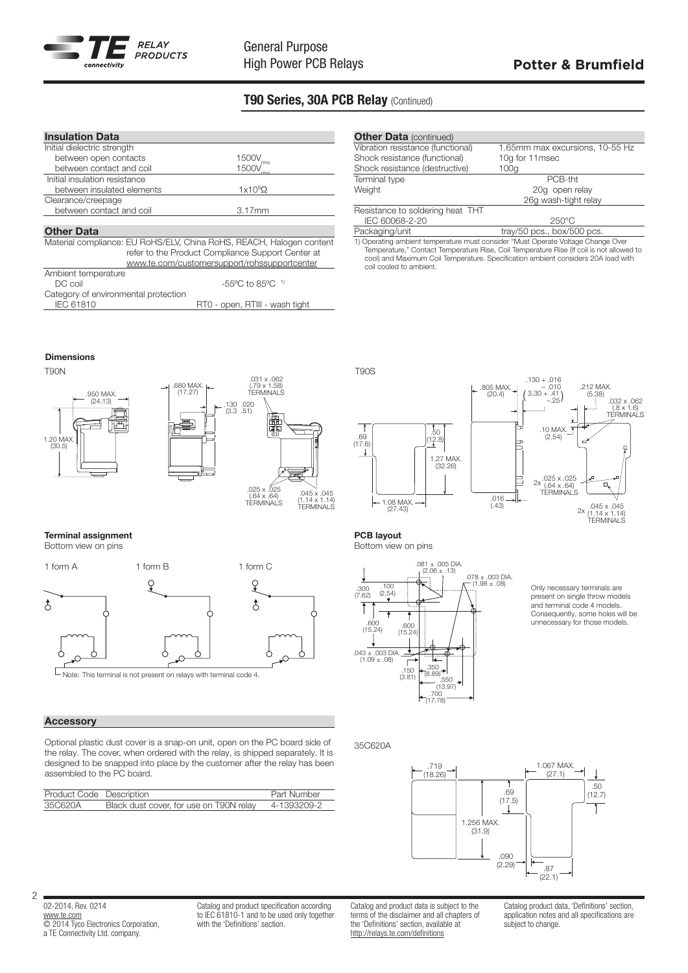

# T90 Series, 30A PCB Relay (Continued)

| <b>Insulation Data</b>                                               |                                                   |  |
|----------------------------------------------------------------------|---------------------------------------------------|--|
| Initial dielectric strength                                          |                                                   |  |
| between open contacts                                                | 1500V                                             |  |
| between contact and coil                                             | 1500V                                             |  |
| Initial insulation resistance                                        |                                                   |  |
| between insulated elements                                           | 1x10 <sup>9</sup> Ω                               |  |
| Clearance/creepage                                                   |                                                   |  |
| between contact and coil                                             | $3.17$ mm                                         |  |
|                                                                      |                                                   |  |
| <b>Other Data</b>                                                    |                                                   |  |
| Material compliance: EU RoHS/ELV, China RoHS, REACH, Halogen content |                                                   |  |
|                                                                      | refer to the Product Compliance Support Center at |  |
|                                                                      | www.te.com/customersupport/rohssupportcenter      |  |
|                                                                      |                                                   |  |

| Ambient temperature                  |                                            |
|--------------------------------------|--------------------------------------------|
| DC coil                              | $-55^{\circ}$ C to 85 $^{\circ}$ C $^{-1}$ |
| Category of environmental protection |                                            |
| IEC 61810                            | RT0 - open, RTIII - wash tight             |

| <b>Other Data (continued)</b>                                                    |                                                                                          |
|----------------------------------------------------------------------------------|------------------------------------------------------------------------------------------|
| Vibration resistance (functional)                                                | 1.65mm max excursions, 10-55 Hz                                                          |
| Shock resistance (functional)                                                    | 10g for 11msec                                                                           |
| Shock resistance (destructive)                                                   | 100g                                                                                     |
| Terminal type                                                                    | PCB-tht                                                                                  |
| Weight                                                                           | 20q open relay                                                                           |
|                                                                                  | 26q wash-tight relay                                                                     |
| Resistance to soldering heat THT                                                 |                                                                                          |
| IEC 60068-2-20                                                                   | $250^{\circ}$ C                                                                          |
| Packaging/unit                                                                   | tray/50 pcs., box/500 pcs.                                                               |
| 1) Operating ambient temperature must consider "Must Operate Voltage Change Over |                                                                                          |
|                                                                                  | Temperature " Contact Temperature Rise, Coil Temperature Rise (If coil is not allowed to |

Temperature," Contact Temperature Rise, Coil Temperature Rise (If coil is not allowed to cool) and Maximum Coil Temperature. Specification ambient considers 20A load with coil cooled to ambient.

> .805 MAX.  $(20.4)$

> > .016 (.43)

Dimensions

Terminal assignment



1.08 MAX. (27.43)



Г Note: This terminal is not present on relays with terminal code 4.

## **Accessory**

 $\delta$ 

2

Optional plastic dust cover is a snap-on unit, open on the PC board side of the relay. The cover, when ordered with the relay, is shipped separately. It is designed to be snapped into place by the customer after the relay has been assembled to the PC board.

| Product Code Description |                                         | Part Number |
|--------------------------|-----------------------------------------|-------------|
| 35C620A                  | Black dust cover, for use on T90N relay | 4-1393209-2 |

PCB layout Bottom view on pins

.69 (17.6)



1.27 MAX. (32.26)

.<br>50  $(2.8)$ 

> Only necessary terminals are present on single throw models and terminal code 4 models. Consequently, some holes will be unnecessary for those models.

 $2x$ 

(.8 x 1.6) TERMINALS

ă

.212 MAX. (5.38)

.045 x .045 (1.14 x 1.14) TERMINALS

.10 MAX.  $(2.54)$ 

.025 x .025 (.64 x .64) TERMINALS 2x

.130 + .016 – .010  $(3.30 + .41)$ 

35C620A



02-2014, Rev. 0214 www.te.com **COLOGO ELECTRONICS** Corporation, a TE Connectivity Ltd. company.

Catalog and product specification according to IEC 61810-1 and to be used only together with the 'Definitions' section.

Catalog and product data is subject to the terms of the disclaimer and all chapters of the 'Definitions' section, available at http://relays.te.com/definitions

Catalog product data, 'Definitions' section. application notes and all specifications are subject to change.